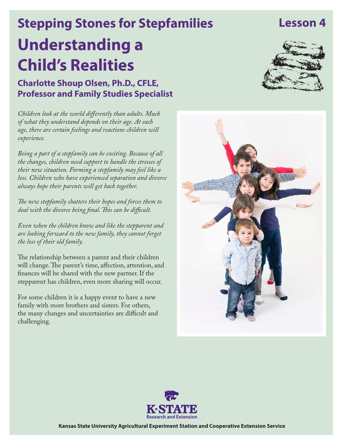# **Understanding a Child's Realities Stepping Stones for Stepfamilies**

**Charlotte Shoup Olsen, Ph.D., CFLE, Professor and Family Studies Specialist**

*Children look at the world differently than adults. Much of what they understand depends on their age. At each age, there are certain feelings and reactions children will experience.* 

*Being a part of a stepfamily can be exciting. Because of all the changes, children need support to handle the stresses of their new situation. Forming a stepfamily may feel like a loss. Children who have experienced separation and divorce always hope their parents will get back together.* 

*The new stepfamily shatters their hopes and forces them to deal with the divorce being final. This can be difficult.*

*Even when the children know and like the stepparent and are looking forward to the new family, they cannot forget the loss of their old family.*

The relationship between a parent and their children will change. The parent's time, affection, attention, and finances will be shared with the new partner. If the stepparent has children, even more sharing will occur.

For some children it is a happy event to have a new family with more brothers and sisters. For others, the many changes and uncertainties are difficult and challenging.







**Kansas State University Agricultural Experiment Station and Cooperative Extension Service**

## **Lesson 4**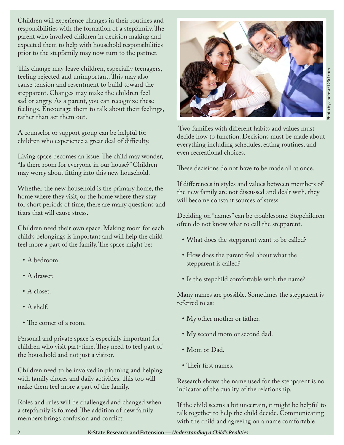Children will experience changes in their routines and responsibilities with the formation of a stepfamily. The parent who involved children in decision making and expected them to help with household responsibilities prior to the stepfamily may now turn to the partner.

This change may leave children, especially teenagers, feeling rejected and unimportant. This may also cause tension and resentment to build toward the stepparent. Changes may make the children feel sad or angry. As a parent, you can recognize these feelings. Encourage them to talk about their feelings, rather than act them out.

A counselor or support group can be helpful for children who experience a great deal of difficulty.

Living space becomes an issue. The child may wonder, "Is there room for everyone in our house?" Children may worry about fitting into this new household.

Whether the new household is the primary home, the home where they visit, or the home where they stay for short periods of time, there are many questions and fears that will cause stress.

Children need their own space. Making room for each child's belongings is important and will help the child feel more a part of the family. The space might be:

- A bedroom.
- A drawer.
- A closet.
- A shelf.
- The corner of a room.

Personal and private space is especially important for children who visit part-time. They need to feel part of the household and not just a visitor.

Children need to be involved in planning and helping with family chores and daily activities. This too will make them feel more a part of the family.

Roles and rules will be challenged and changed when a stepfamily is formed. The addition of new family members brings confusion and conflict.



 Two families with different habits and values must decide how to function. Decisions must be made about everything including schedules, eating routines, and even recreational choices.

These decisions do not have to be made all at once.

If differences in styles and values between members of the new family are not discussed and dealt with, they will become constant sources of stress.

Deciding on "names" can be troublesome. Stepchildren often do not know what to call the stepparent.

- What does the stepparent want to be called?
- How does the parent feel about what the stepparent is called?
- Is the stepchild comfortable with the name?

Many names are possible. Sometimes the stepparent is referred to as:

- • My other mother or father.
- My second mom or second dad.
- Mom or Dad.
- Their first names.

Research shows the name used for the stepparent is no indicator of the quality of the relationship.

If the child seems a bit uncertain, it might be helpful to talk together to help the child decide. Communicating with the child and agreeing on a name comfortable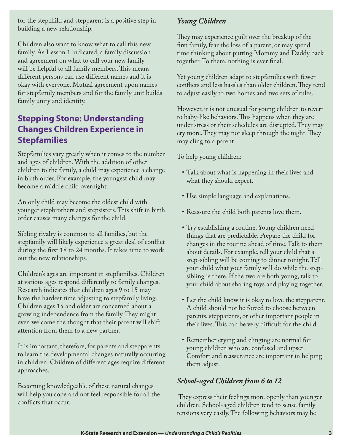for the stepchild and stepparent is a positive step in building a new relationship.

Children also want to know what to call this new family. As Lesson 1 indicated, a family discussion and agreement on what to call your new family will be helpful to all family members. This means different persons can use different names and it is okay with everyone. Mutual agreement upon names for stepfamily members and for the family unit builds family unity and identity.

#### **Stepping Stone: Understanding Changes Children Experience in Stepfamilies**

Stepfamilies vary greatly when it comes to the number and ages of children. With the addition of other children to the family, a child may experience a change in birth order. For example, the youngest child may become a middle child overnight.

An only child may become the oldest child with younger stepbrothers and stepsisters. This shift in birth order causes many changes for the child.

Sibling rivalry is common to all families, but the stepfamily will likely experience a great deal of conflict during the first 18 to 24 months. It takes time to work out the new relationships.

Children's ages are important in stepfamilies. Children at various ages respond differently to family changes. Research indicates that children ages 9 to 15 may have the hardest time adjusting to stepfamily living. Children ages 15 and older are concerned about a growing independence from the family. They might even welcome the thought that their parent will shift attention from them to a new partner.

It is important, therefore, for parents and stepparents to learn the developmental changes naturally occurring in children. Children of different ages require different approaches.

Becoming knowledgeable of these natural changes will help you cope and not feel responsible for all the conflicts that occur.

#### *Young Children*

They may experience guilt over the breakup of the first family, fear the loss of a parent, or may spend time thinking about putting Mommy and Daddy back together. To them, nothing is ever final.

Yet young children adapt to stepfamilies with fewer conflicts and less hassles than older children. They tend to adjust easily to two homes and two sets of rules.

However, it is not unusual for young children to revert to baby-like behaviors. This happens when they are under stress or their schedules are disrupted. They may cry more. They may not sleep through the night. They may cling to a parent.

To help young children:

- Talk about what is happening in their lives and what they should expect.
- • Use simple language and explanations.
- Reassure the child both parents love them.
- • Try establishing a routine. Young children need things that are predictable. Prepare the child for changes in the routine ahead of time. Talk to them about details. For example, tell your child that a step-sibling will be coming to dinner tonight. Tell your child what your family will do while the stepsibling is there. If the two are both young, talk to your child about sharing toys and playing together.
- Let the child know it is okay to love the stepparent. A child should not be forced to choose between parents, stepparents, or other important people in their lives. This can be very difficult for the child.
- Remember crying and clinging are normal for young children who are confused and upset. Comfort and reassurance are important in helping them adjust.

#### *School-aged Children from 6 to 12*

 They express their feelings more openly than younger children. School-aged children tend to sense family tensions very easily. The following behaviors may be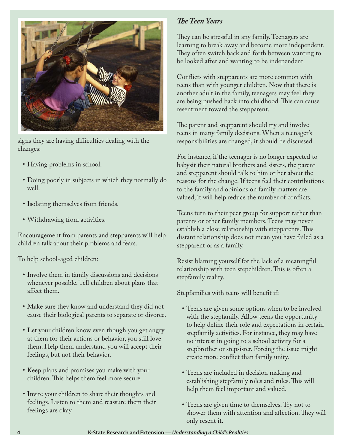

signs they are having difficulties dealing with the changes:

- Having problems in school.
- • Doing poorly in subjects in which they normally do well.
- Isolating themselves from friends.
- • Withdrawing from activities.

Encouragement from parents and stepparents will help children talk about their problems and fears.

To help school-aged children:

- Involve them in family discussions and decisions whenever possible. Tell children about plans that affect them.
- • Make sure they know and understand they did not cause their biological parents to separate or divorce.
- Let your children know even though you get angry at them for their actions or behavior, you still love them. Help them understand you will accept their feelings, but not their behavior.
- Keep plans and promises you make with your children. This helps them feel more secure.
- Invite your children to share their thoughts and feelings. Listen to them and reassure them their feelings are okay.

#### *The Teen Years*

They can be stressful in any family. Teenagers are learning to break away and become more independent. They often switch back and forth between wanting to be looked after and wanting to be independent.

Conflicts with stepparents are more common with teens than with younger children. Now that there is another adult in the family, teenagers may feel they are being pushed back into childhood. This can cause resentment toward the stepparent.

The parent and stepparent should try and involve teens in many family decisions. When a teenager's responsibilities are changed, it should be discussed.

For instance, if the teenager is no longer expected to babysit their natural brothers and sisters, the parent and stepparent should talk to him or her about the reasons for the change. If teens feel their contributions to the family and opinions on family matters are valued, it will help reduce the number of conflicts.

Teens turn to their peer group for support rather than parents or other family members. Teens may never establish a close relationship with stepparents. This distant relationship does not mean you have failed as a stepparent or as a family.

Resist blaming yourself for the lack of a meaningful relationship with teen stepchildren. This is often a stepfamily reality.

Stepfamilies with teens will benefit if:

- • Teens are given some options when to be involved with the stepfamily. Allow teens the opportunity to help define their role and expectations in certain stepfamily activities. For instance, they may have no interest in going to a school activity for a stepbrother or stepsister. Forcing the issue might create more conflict than family unity.
- • Teens are included in decision making and establishing stepfamily roles and rules. This will help them feel important and valued.
- • Teens are given time to themselves. Try not to shower them with attention and affection. They will only resent it.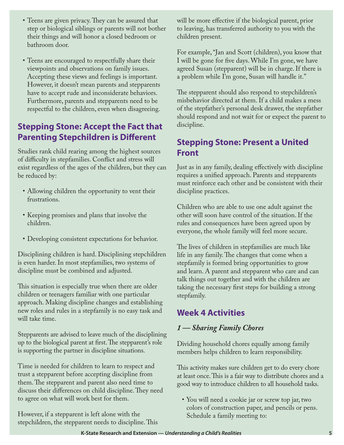- Teens are given privacy. They can be assured that step or biological siblings or parents will not bother their things and will honor a closed bedroom or bathroom door.
- Teens are encouraged to respectfully share their viewpoints and observations on family issues. Accepting these views and feelings is important. However, it doesn't mean parents and stepparents have to accept rude and inconsiderate behaviors. Furthermore, parents and stepparents need to be respectful to the children, even when disagreeing.

#### **Stepping Stone: Accept the Fact that Parenting Stepchildren is Different**

Studies rank child rearing among the highest sources of difficulty in stepfamilies. Conflict and stress will exist regardless of the ages of the children, but they can be reduced by:

- Allowing children the opportunity to vent their frustrations.
- • Keeping promises and plans that involve the children.
- • Developing consistent expectations for behavior.

Disciplining children is hard. Disciplining stepchildren is even harder. In most stepfamilies, two systems of discipline must be combined and adjusted.

This situation is especially true when there are older children or teenagers familiar with one particular approach. Making discipline changes and establishing new roles and rules in a stepfamily is no easy task and will take time.

Stepparents are advised to leave much of the disciplining up to the biological parent at first. The stepparent's role is supporting the partner in discipline situations.

Time is needed for children to learn to respect and trust a stepparent before accepting discipline from them. The stepparent and parent also need time to discuss their differences on child discipline. They need to agree on what will work best for them.

However, if a stepparent is left alone with the stepchildren, the stepparent needs to discipline. This will be more effective if the biological parent, prior to leaving, has transferred authority to you with the children present.

For example, "Jan and Scott (children), you know that I will be gone for five days. While I'm gone, we have agreed Susan (stepparent) will be in charge. If there is a problem while I'm gone, Susan will handle it."

The stepparent should also respond to stepchildren's misbehavior directed at them. If a child makes a mess of the stepfather's personal desk drawer, the stepfather should respond and not wait for or expect the parent to discipline.

#### **Stepping Stone: Present a United Front**

Just as in any family, dealing effectively with discipline requires a unified approach. Parents and stepparents must reinforce each other and be consistent with their discipline practices.

Children who are able to use one adult against the other will soon have control of the situation. If the rules and consequences have been agreed upon by everyone, the whole family will feel more secure.

The lives of children in stepfamilies are much like life in any family. The changes that come when a stepfamily is formed bring opportunities to grow and learn. A parent and stepparent who care and can talk things out together and with the children are taking the necessary first steps for building a strong stepfamily.

### **Week 4 Activities**

#### *1 — Sharing Family Chores*

Dividing household chores equally among family members helps children to learn responsibility.

This activity makes sure children get to do every chore at least once. This is a fair way to distribute chores and a good way to introduce children to all household tasks.

• You will need a cookie jar or screw top jar, two colors of construction paper, and pencils or pens. Schedule a family meeting to: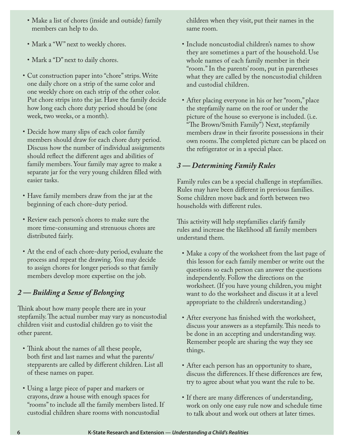- Make a list of chores (inside and outside) family members can help to do.
- Mark a "W" next to weekly chores.
- Mark a "D" next to daily chores.
- Cut construction paper into "chore" strips. Write one daily chore on a strip of the same color and one weekly chore on each strip of the other color. Put chore strips into the jar. Have the family decide how long each chore duty period should be (one week, two weeks, or a month).
- Decide how many slips of each color family members should draw for each chore duty period. Discuss how the number of individual assignments should reflect the different ages and abilities of family members. Your family may agree to make a separate jar for the very young children filled with easier tasks.
- Have family members draw from the jar at the beginning of each chore-duty period.
- Review each person's chores to make sure the more time-consuming and strenuous chores are distributed fairly.
- • At the end of each chore-duty period, evaluate the process and repeat the drawing. You may decide to assign chores for longer periods so that family members develop more expertise on the job.

#### *2 — Building a Sense of Belonging*

Think about how many people there are in your stepfamily. The actual number may vary as noncustodial children visit and custodial children go to visit the other parent.

- Think about the names of all these people, both first and last names and what the parents/ stepparents are called by different children. List all of these names on paper.
- • Using a large piece of paper and markers or crayons, draw a house with enough spaces for "rooms" to include all the family members listed. If custodial children share rooms with noncustodial

children when they visit, put their names in the same room.

- Include noncustodial children's names to show they are sometimes a part of the household. Use whole names of each family member in their "room." In the parents' room, put in parentheses what they are called by the noncustodial children and custodial children.
- • After placing everyone in his or her "room," place the stepfamily name on the roof or under the picture of the house so everyone is included. (i.e. "The Brown/Smith Family") Next, stepfamily members draw in their favorite possessions in their own rooms. The completed picture can be placed on the refrigerator or in a special place.

#### *3 — Determining Family Rules*

Family rules can be a special challenge in stepfamilies. Rules may have been different in previous families. Some children move back and forth between two households with different rules.

This activity will help stepfamilies clarify family rules and increase the likelihood all family members understand them.

- Make a copy of the worksheet from the last page of this lesson for each family member or write out the questions so each person can answer the questions independently. Follow the directions on the worksheet. (If you have young children, you might want to do the worksheet and discuss it at a level appropriate to the children's understanding.)
- After everyone has finished with the worksheet, discuss your answers as a stepfamily. This needs to be done in an accepting and understanding way. Remember people are sharing the way they see things.
- After each person has an opportunity to share, discuss the differences. If these differences are few, try to agree about what you want the rule to be.
- If there are many differences of understanding, work on only one easy rule now and schedule time to talk about and work out others at later times.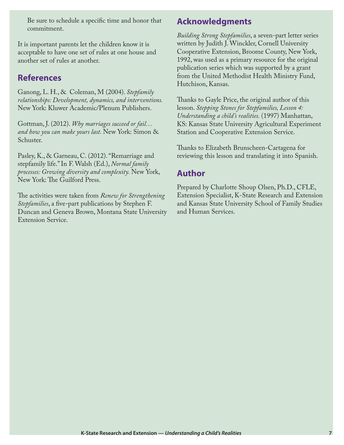Be sure to schedule a specific time and honor that commitment.

It is important parents let the children know it is acceptable to have one set of rules at one house and another set of rules at another.

#### **References**

Ganong, L. H., & Coleman, M (2004). *Stepfamily relationships: Development, dynamics, and interventions.*  New York: Kluwer Academic/Plenum Publishers.

Gottman, J. (2012). *Why marriages succeed or fail… and how you can make yours last.* New York: Simon & Schuster.

Pasley, K., & Garneau, C. (2012). "Remarriage and stepfamily life." In F. Walsh (Ed.), *Normal family processes: Growing diversity and complexity.* New York, New York: The Guilford Press.

The activities were taken from *Renew for Strengthening Stepfamilies*, a five-part publications by Stephen F. Duncan and Geneva Brown, Montana State University Extension Service.

#### **Acknowledgments**

*Building Strong Stepfamilies*, a seven-part letter series written by Judith J. Winckler, Cornell University Cooperative Extension, Broome County, New York, 1992, was used as a primary resource for the original publication series which was supported by a grant from the United Methodist Health Ministry Fund, Hutchison, Kansas.

Thanks to Gayle Price, the original author of this lesson. *Stepping Stones for Stepfamilies, Lesson 4: Understanding a child's realities.* (1997) Manhattan, KS: Kansas State University Agricultural Experiment Station and Cooperative Extension Service.

Thanks to Elizabeth Brunscheen-Cartagena for reviewing this lesson and translating it into Spanish.

#### **Author**

Prepared by Charlotte Shoup Olsen, Ph.D., CFLE, Extension Specialist, K-State Research and Extension and Kansas State University School of Family Studies and Human Services.